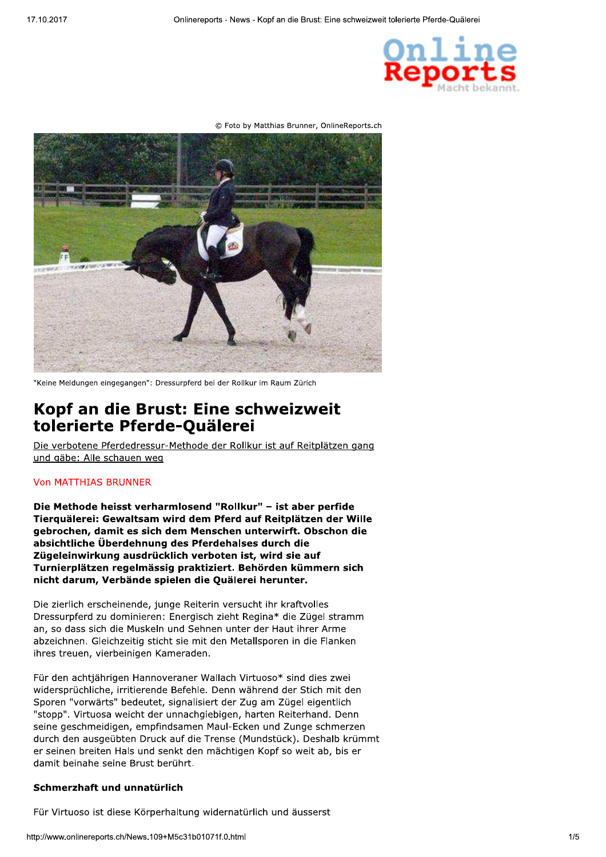

```
© Foto by Matthias Brunner, OnlineReports.ch
```


"Keine Meldungen eingegangen": Dressurpferd bei der Rollkur im Raum Zürich

# Kopf an die Brust: Eine schweizweit tolerierte Pferde-Quälerei

Die verbotene Pferdedressur-Methode der Rollkur ist auf Reitplätzen gang und gäbe: Alle schauen weg

## **Von MATTHIAS BRUNNER**

Die Methode heisst verharmlosend "Rollkur" - ist aber perfide Tierguälerei: Gewaltsam wird dem Pferd auf Reitplätzen der Wille gebrochen, damit es sich dem Menschen unterwirft. Obschon die absichtliche Überdehnung des Pferdehalses durch die Zügeleinwirkung ausdrücklich verboten ist, wird sie auf Turnierplätzen regelmässig praktiziert. Behörden kümmern sich nicht darum, Verbände spielen die Quälerei herunter.

Die zierlich erscheinende, junge Reiterin versucht ihr kraftvolles Dressurpferd zu dominieren: Energisch zieht Regina\* die Zügel stramm an, so dass sich die Muskeln und Sehnen unter der Haut ihrer Arme abzeichnen. Gleichzeitig sticht sie mit den Metallsporen in die Flanken ihres treuen, vierbeinigen Kameraden.

Für den achtiährigen Hannoveraner Wallach Virtuoso\* sind dies zwei widersprüchliche, irritierende Befehle. Denn während der Stich mit den Sporen "vorwärts" bedeutet, signalisiert der Zug am Zügel eigentlich "stopp". Virtuosa weicht der unnachgiebigen, harten Reiterhand. Denn seine geschmeidigen, empfindsamen Maul-Ecken und Zunge schmerzen durch den ausgeübten Druck auf die Trense (Mundstück). Deshalb krümmt er seinen breiten Hals und senkt den mächtigen Kopf so weit ab, bis er damit beinahe seine Brust berührt.

# Schmerzhaft und unnatürlich

Für Virtuoso ist diese Körperhaltung widernatürlich und äusserst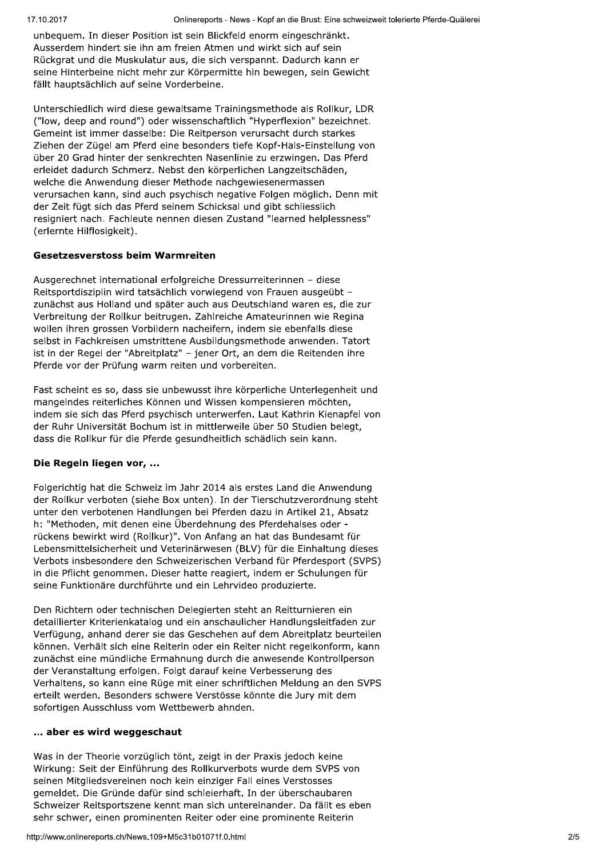unbequem. In dieser Position ist sein Blickfeld enorm eingeschränkt. Ausserdem hindert sie ihn am freien Atmen und wirkt sich auf sein Rückgrat und die Muskulatur aus, die sich verspannt. Dadurch kann er seine Hinterbeine nicht mehr zur Körpermitte hin bewegen, sein Gewicht fällt hauptsächlich auf seine Vorderbeine.

Unterschiedlich wird diese gewaltsame Trainingsmethode als Rollkur, LDR ("low, deep and round") oder wissenschaftlich "Hyperflexion" bezeichnet. Gemeint ist immer dasselbe: Die Reitperson verursacht durch starkes Ziehen der Zügel am Pferd eine besonders tiefe Kopf-Hals-Einstellung von über 20 Grad hinter der senkrechten Nasenlinie zu erzwingen. Das Pferd erleidet dadurch Schmerz. Nebst den körperlichen Langzeitschäden, welche die Anwendung dieser Methode nachgewiesenermassen verursachen kann, sind auch psychisch negative Folgen möglich. Denn mit der Zeit fügt sich das Pferd seinem Schicksal und gibt schliesslich resigniert nach. Fachleute nennen diesen Zustand "learned helplessness" (erlernte Hilflosigkeit).

## **Gesetzesverstoss beim Warmreiten**

Ausgerechnet international erfolgreiche Dressurreiterinnen - diese Reitsportdisziplin wird tatsächlich vorwiegend von Frauen ausgeübt zunächst aus Holland und später auch aus Deutschland waren es, die zur Verbreitung der Rollkur beitrugen. Zahlreiche Amateurinnen wie Regina wollen ihren grossen Vorbildern nacheifern, indem sie ebenfalls diese selbst in Fachkreisen umstrittene Ausbildungsmethode anwenden. Tatort ist in der Regel der "Abreitplatz" - jener Ort, an dem die Reitenden ihre Pferde vor der Prüfung warm reiten und vorbereiten.

Fast scheint es so, dass sie unbewusst ihre körperliche Unterlegenheit und mangelndes reiterliches Können und Wissen kompensieren möchten, indem sie sich das Pferd psychisch unterwerfen. Laut Kathrin Kienapfel von der Ruhr Universität Bochum ist in mittlerweile über 50 Studien belegt, dass die Rollkur für die Pferde gesundheitlich schädlich sein kann.

# Die Regeln liegen vor, ...

Folgerichtig hat die Schweiz im Jahr 2014 als erstes Land die Anwendung der Rollkur verboten (siehe Box unten). In der Tierschutzverordnung steht unter den verbotenen Handlungen bei Pferden dazu in Artikel 21, Absatz h: "Methoden, mit denen eine Überdehnung des Pferdehalses oder rückens bewirkt wird (Rollkur)". Von Anfang an hat das Bundesamt für Lebensmittelsicherheit und Veterinärwesen (BLV) für die Einhaltung dieses Verbots insbesondere den Schweizerischen Verband für Pferdesport (SVPS) in die Pflicht genommen. Dieser hatte reagiert, indem er Schulungen für seine Funktionäre durchführte und ein Lehrvideo produzierte.

Den Richtern oder technischen Delegierten steht an Reitturnieren ein detaillierter Kriterienkatalog und ein anschaulicher Handlungsleitfaden zur Verfügung, anhand derer sie das Geschehen auf dem Abreitplatz beurteilen können. Verhält sich eine Reiterin oder ein Reiter nicht regelkonform, kann zunächst eine mündliche Ermahnung durch die anwesende Kontrollperson der Veranstaltung erfolgen. Folgt darauf keine Verbesserung des Verhaltens, so kann eine Rüge mit einer schriftlichen Meldung an den SVPS erteilt werden. Besonders schwere Verstösse könnte die Jury mit dem sofortigen Ausschluss vom Wettbewerb ahnden.

## ... aber es wird weggeschaut

Was in der Theorie vorzüglich tönt, zeigt in der Praxis jedoch keine Wirkung: Seit der Einführung des Rollkurverbots wurde dem SVPS von seinen Mitgliedsvereinen noch kein einziger Fall eines Verstosses gemeldet. Die Gründe dafür sind schleierhaft. In der überschaubaren Schweizer Reitsportszene kennt man sich untereinander. Da fällt es eben sehr schwer, einen prominenten Reiter oder eine prominente Reiterin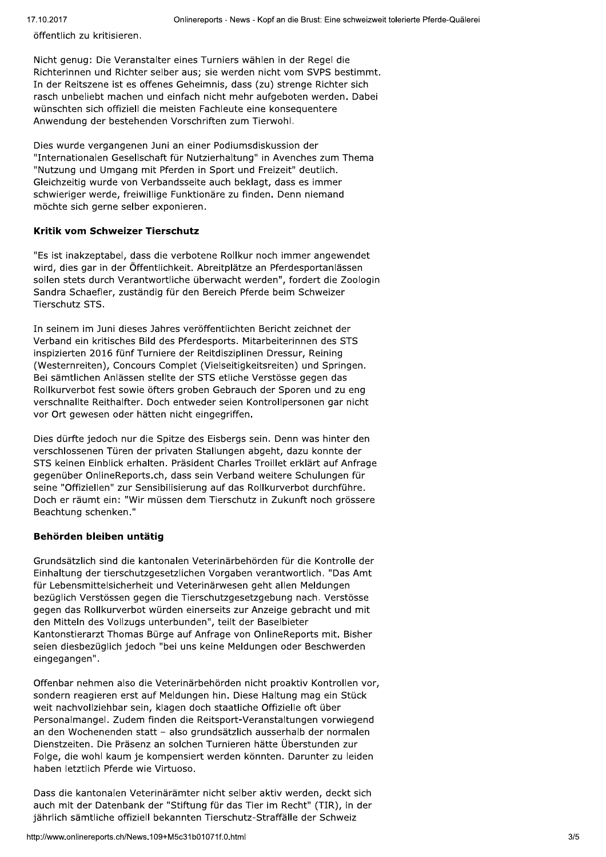öffentlich zu kritisieren.

Nicht genug: Die Veranstalter eines Turniers wählen in der Regel die Richterinnen und Richter selber aus; sie werden nicht vom SVPS bestimmt. In der Reitszene ist es offenes Geheimnis, dass (zu) strenge Richter sich rasch unbeliebt machen und einfach nicht mehr aufgeboten werden. Dabei wünschten sich offiziell die meisten Fachleute eine konsequentere Anwendung der bestehenden Vorschriften zum Tierwohl.

Dies wurde vergangenen Juni an einer Podiumsdiskussion der "Internationalen Gesellschaft für Nutzierhaltung" in Avenches zum Thema "Nutzung und Umgang mit Pferden in Sport und Freizeit" deutlich. Gleichzeitig wurde von Verbandsseite auch beklagt, dass es immer schwieriger werde, freiwillige Funktionäre zu finden. Denn niemand möchte sich gerne selber exponieren.

## Kritik vom Schweizer Tierschutz

"Es ist inakzeptabel, dass die verbotene Rollkur noch immer angewendet wird, dies gar in der Öffentlichkeit. Abreitplätze an Pferdesportanlässen sollen stets durch Verantwortliche überwacht werden", fordert die Zoologin Sandra Schaefler, zuständig für den Bereich Pferde beim Schweizer Tierschutz STS.

In seinem im Juni dieses Jahres veröffentlichten Bericht zeichnet der Verband ein kritisches Bild des Pferdesports. Mitarbeiterinnen des STS inspizierten 2016 fünf Turniere der Reitdisziplinen Dressur, Reining (Westernreiten), Concours Complet (Vielseitigkeitsreiten) und Springen. Bei sämtlichen Anlässen stellte der STS etliche Verstösse gegen das Rollkurverbot fest sowie öfters groben Gebrauch der Sporen und zu eng verschnallte Reithalfter. Doch entweder seien Kontrollpersonen gar nicht vor Ort gewesen oder hätten nicht eingegriffen.

Dies dürfte jedoch nur die Spitze des Eisbergs sein. Denn was hinter den verschlossenen Türen der privaten Stallungen abgeht, dazu konnte der STS keinen Einblick erhalten. Präsident Charles Troillet erklärt auf Anfrage gegenüber OnlineReports.ch, dass sein Verband weitere Schulungen für seine "Offiziellen" zur Sensibilisierung auf das Rollkurverbot durchführe. Doch er räumt ein: "Wir müssen dem Tierschutz in Zukunft noch grössere Beachtung schenken."

# Behörden bleiben untätig

Grundsätzlich sind die kantonalen Veterinärbehörden für die Kontrolle der Einhaltung der tierschutzgesetzlichen Vorgaben verantwortlich. "Das Amt für Lebensmittelsicherheit und Veterinärwesen geht allen Meldungen bezüglich Verstössen gegen die Tierschutzgesetzgebung nach. Verstösse gegen das Rollkurverbot würden einerseits zur Anzeige gebracht und mit den Mitteln des Vollzugs unterbunden", teilt der Baselbieter Kantonstierarzt Thomas Bürge auf Anfrage von OnlineReports mit. Bisher seien diesbezüglich jedoch "bei uns keine Meldungen oder Beschwerden eingegangen".

Offenbar nehmen also die Veterinärbehörden nicht proaktiv Kontrollen vor, sondern reagieren erst auf Meldungen hin. Diese Haltung mag ein Stück weit nachvollziehbar sein, klagen doch staatliche Offizielle oft über Personalmangel. Zudem finden die Reitsport-Veranstaltungen vorwiegend an den Wochenenden statt - also grundsätzlich ausserhalb der normalen Dienstzeiten. Die Präsenz an solchen Turnieren hätte Überstunden zur Folge, die wohl kaum je kompensiert werden könnten. Darunter zu leiden haben letztlich Pferde wie Virtuoso.

Dass die kantonalen Veterinärämter nicht selber aktiv werden, deckt sich auch mit der Datenbank der "Stiftung für das Tier im Recht" (TIR), in der jährlich sämtliche offiziell bekannten Tierschutz-Straffälle der Schweiz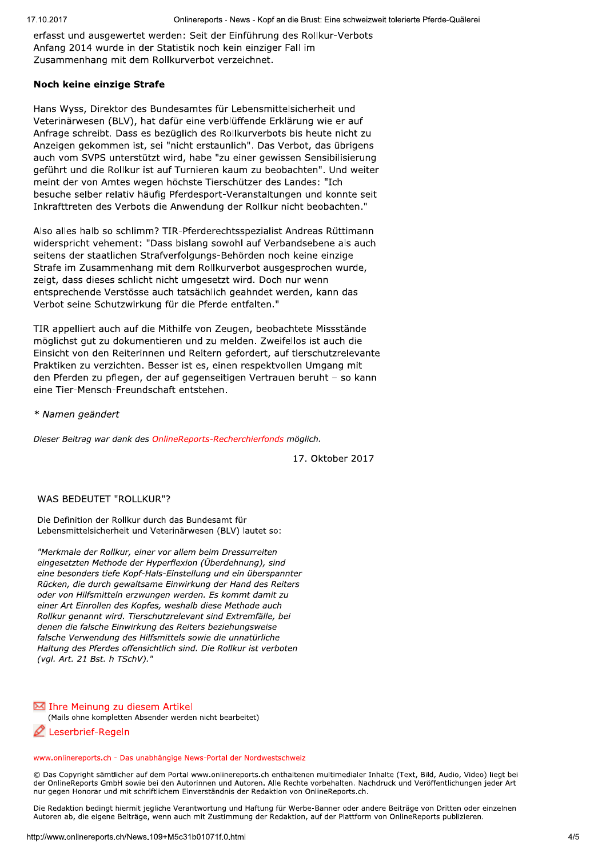erfasst und ausgewertet werden: Seit der Einführung des Rollkur-Verbots Anfang 2014 wurde in der Statistik noch kein einziger Fall im Zusammenhang mit dem Rollkurverbot verzeichnet.

## Noch keine einzige Strafe

Hans Wyss, Direktor des Bundesamtes für Lebensmittelsicherheit und Veterinärwesen (BLV), hat dafür eine verblüffende Erklärung wie er auf Anfrage schreibt. Dass es bezüglich des Rollkurverbots bis heute nicht zu Anzeigen gekommen ist, sei "nicht erstaunlich". Das Verbot, das übrigens auch vom SVPS unterstützt wird, habe "zu einer gewissen Sensibilisierung geführt und die Rollkur ist auf Turnieren kaum zu beobachten". Und weiter meint der von Amtes wegen höchste Tierschützer des Landes: "Ich besuche selber relativ häufig Pferdesport-Veranstaltungen und konnte seit Inkrafttreten des Verbots die Anwendung der Rollkur nicht beobachten."

Also alles halb so schlimm? TIR-Pferderechtsspezialist Andreas Rüttimann widerspricht vehement: "Dass bislang sowohl auf Verbandsebene als auch seitens der staatlichen Strafverfolgungs-Behörden noch keine einzige Strafe im Zusammenhang mit dem Rollkurverbot ausgesprochen wurde, zeigt, dass dieses schlicht nicht umgesetzt wird. Doch nur wenn entsprechende Verstösse auch tatsächlich geahndet werden, kann das Verbot seine Schutzwirkung für die Pferde entfalten."

TIR appelliert auch auf die Mithilfe von Zeugen, beobachtete Missstände möglichst gut zu dokumentieren und zu melden. Zweifellos ist auch die Einsicht von den Reiterinnen und Reitern gefordert, auf tierschutzrelevante Praktiken zu verzichten. Besser ist es, einen respektvollen Umgang mit den Pferden zu pflegen, der auf gegenseitigen Vertrauen beruht – so kann eine Tier-Mensch-Freundschaft entstehen.

\* Namen geändert

Dieser Beitrag war dank des OnlineReports-Recherchierfonds möglich.

17. Oktober 2017

## WAS BEDEUTET "ROLLKUR"?

Die Definition der Rollkur durch das Bundesamt für Lebensmittelsicherheit und Veterinärwesen (BLV) lautet so:

"Merkmale der Rollkur, einer vor allem beim Dressurreiten eingesetzten Methode der Hyperflexion (Überdehnung), sind eine besonders tiefe Kopf-Hals-Einstellung und ein überspannter Rücken, die durch gewaltsame Einwirkung der Hand des Reiters oder von Hilfsmitteln erzwungen werden. Es kommt damit zu einer Art Einrollen des Kopfes, weshalb diese Methode auch Rollkur genannt wird. Tierschutzrelevant sind Extremfälle, bei denen die falsche Einwirkung des Reiters beziehungsweise falsche Verwendung des Hilfsmittels sowie die unnatürliche Haltung des Pferdes offensichtlich sind. Die Rollkur ist verboten (vgl. Art. 21 Bst. h TSchV)."

## Ihre Meinung zu diesem Artikel

(Mails ohne kompletten Absender werden nicht bearbeitet)

Leserbrief-Regeln

www.onlinereports.ch - Das unabhängige News-Portal der Nordwestschweiz

© Das Copyright sämtlicher auf dem Portal www.onlinereports.ch enthaltenen multimedialer Inhalte (Text, Bild, Audio, Video) liegt bei der OnlineReports GmbH sowie bei den Autorinnen und Autoren. Alle Rechte vorbehalten. Nachdruck und Veröffentlichungen jeder Art nur gegen Honorar und mit schriftlichem Einverständnis der Redaktion von OnlineReports.ch.

Die Redaktion bedingt hiermit jegliche Verantwortung und Haftung für Werbe-Banner oder andere Beiträge von Dritten oder einzelnen Autoren ab, die eigene Beiträge, wenn auch mit Zustimmung der Redaktion, auf der Plattform von OnlineReports publizieren.